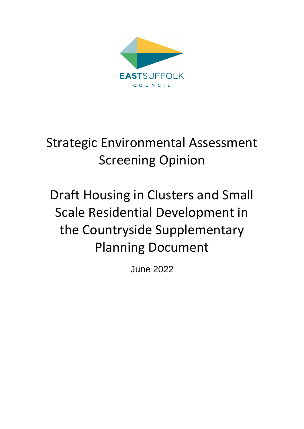

# Strategic Environmental Assessment Screening Opinion

# Draft Housing in Clusters and Small Scale Residential Development in the Countryside Supplementary Planning Document

June 2022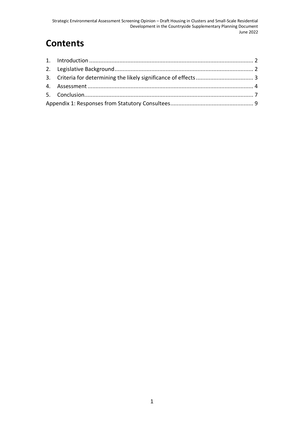# **Contents**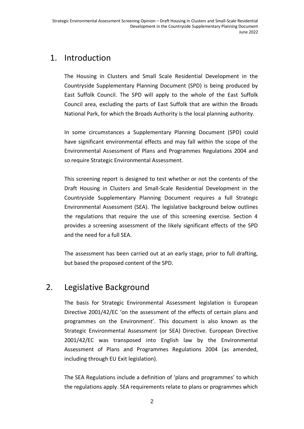## <span id="page-2-0"></span>1. Introduction

The Housing in Clusters and Small Scale Residential Development in the Countryside Supplementary Planning Document (SPD) is being produced by East Suffolk Council. The SPD will apply to the whole of the East Suffolk Council area, excluding the parts of East Suffolk that are within the Broads National Park, for which the Broads Authority is the local planning authority.

In some circumstances a Supplementary Planning Document (SPD) could have significant environmental effects and may fall within the scope of the Environmental Assessment of Plans and Programmes Regulations 2004 and so require Strategic Environmental Assessment.

This screening report is designed to test whether or not the contents of the Draft Housing in Clusters and Small-Scale Residential Development in the Countryside Supplementary Planning Document requires a full Strategic Environmental Assessment (SEA). The legislative background below outlines the regulations that require the use of this screening exercise. Section 4 provides a screening assessment of the likely significant effects of the SPD and the need for a full SEA.

The assessment has been carried out at an early stage, prior to full drafting, but based the proposed content of the SPD.

# <span id="page-2-1"></span>2. Legislative Background

The basis for Strategic Environmental Assessment legislation is European Directive 2001/42/EC 'on the assessment of the effects of certain plans and programmes on the Environment'. This document is also known as the Strategic Environmental Assessment (or SEA) Directive. European Directive 2001/42/EC was transposed into English law by the Environmental Assessment of Plans and Programmes Regulations 2004 (as amended, including through EU Exit legislation).

The SEA Regulations include a definition of 'plans and programmes' to which the regulations apply. SEA requirements relate to plans or programmes which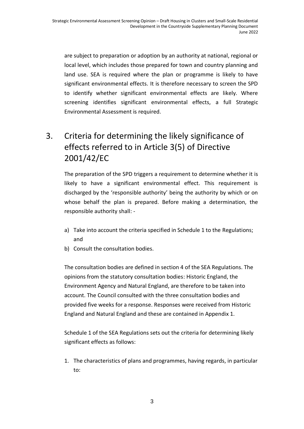are subject to preparation or adoption by an authority at national, regional or local level, which includes those prepared for town and country planning and land use. SEA is required where the plan or programme is likely to have significant environmental effects. It is therefore necessary to screen the SPD to identify whether significant environmental effects are likely. Where screening identifies significant environmental effects, a full Strategic Environmental Assessment is required.

# <span id="page-3-0"></span>3. Criteria for determining the likely significance of effects referred to in Article 3(5) of Directive 2001/42/EC

The preparation of the SPD triggers a requirement to determine whether it is likely to have a significant environmental effect. This requirement is discharged by the 'responsible authority' being the authority by which or on whose behalf the plan is prepared. Before making a determination, the responsible authority shall: -

- a) Take into account the criteria specified in Schedule 1 to the Regulations; and
- b) Consult the consultation bodies.

The consultation bodies are defined in section 4 of the SEA Regulations. The opinions from the statutory consultation bodies: Historic England, the Environment Agency and Natural England, are therefore to be taken into account. The Council consulted with the three consultation bodies and provided five weeks for a response. Responses were received from Historic England and Natural England and these are contained in Appendix 1.

Schedule 1 of the SEA Regulations sets out the criteria for determining likely significant effects as follows:

1. The characteristics of plans and programmes, having regards, in particular to: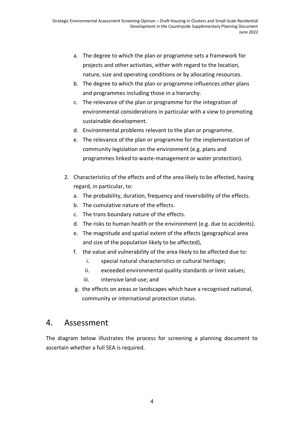- a. The degree to which the plan or programme sets a framework for projects and other activities, either with regard to the location, nature, size and operating conditions or by allocating resources.
- b. The degree to which the plan or programme influences other plans and programmes including those in a hierarchy.
- c. The relevance of the plan or programme for the integration of environmental considerations in particular with a view to promoting sustainable development.
- d. Environmental problems relevant to the plan or programme.
- e. The relevance of the plan or programme for the implementation of community legislation on the environment (e.g. plans and programmes linked to waste-management or water protection).
- 2. Characteristics of the effects and of the area likely to be affected, having regard, in particular, to:
	- a. The probability, duration, frequency and reversibility of the effects.
	- b. The cumulative nature of the effects.
	- c. The trans boundary nature of the effects.
	- d. The risks to human health or the environment (e.g. due to accidents).
	- e. The magnitude and spatial extent of the effects (geographical area and size of the population likely to be affected),
	- f. the value and vulnerability of the area likely to be affected due to:
		- i. special natural characteristics or cultural heritage;
		- ii. exceeded environmental quality standards or limit values;
		- iii. intensive land-use; and
	- g. the effects on areas or landscapes which have a recognised national, community or international protection status.

## <span id="page-4-0"></span>4. Assessment

The diagram below illustrates the process for screening a planning document to ascertain whether a full SEA is required.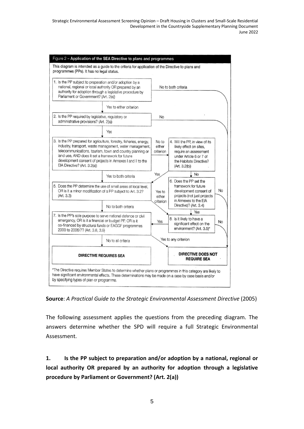

**Source**: *A Practical Guide to the Strategic Environmental Assessment Directive* (2005)

The following assessment applies the questions from the preceding diagram. The answers determine whether the SPD will require a full Strategic Environmental Assessment.

**1. Is the PP subject to preparation and/or adoption by a national, regional or local authority OR prepared by an authority for adoption through a legislative procedure by Parliament or Government? (Art. 2(a))**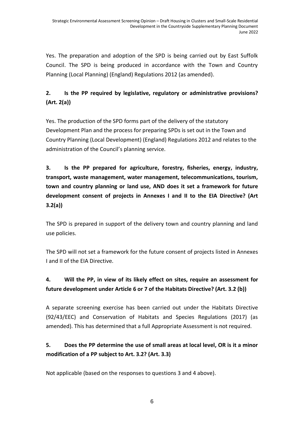Yes. The preparation and adoption of the SPD is being carried out by East Suffolk Council. The SPD is being produced in accordance with the Town and Country Planning (Local Planning) (England) Regulations 2012 (as amended).

### **2. Is the PP required by legislative, regulatory or administrative provisions? (Art. 2(a))**

Yes. The production of the SPD forms part of the delivery of the statutory Development Plan and the process for preparing SPDs is set out in the Town and Country Planning (Local Development) (England) Regulations 2012 and relates to the administration of the Council's planning service.

**3. Is the PP prepared for agriculture, forestry, fisheries, energy, industry, transport, waste management, water management, telecommunications, tourism, town and country planning or land use, AND does it set a framework for future development consent of projects in Annexes I and II to the EIA Directive? (Art 3.2(a))**

The SPD is prepared in support of the delivery town and country planning and land use policies.

The SPD will not set a framework for the future consent of projects listed in Annexes I and II of the EIA Directive.

### **4. Will the PP, in view of its likely effect on sites, require an assessment for future development under Article 6 or 7 of the Habitats Directive? (Art. 3.2 (b))**

A separate screening exercise has been carried out under the Habitats Directive (92/43/EEC) and Conservation of Habitats and Species Regulations (2017) (as amended). This has determined that a full Appropriate Assessment is not required.

## **5. Does the PP determine the use of small areas at local level, OR is it a minor modification of a PP subject to Art. 3.2? (Art. 3.3)**

Not applicable (based on the responses to questions 3 and 4 above).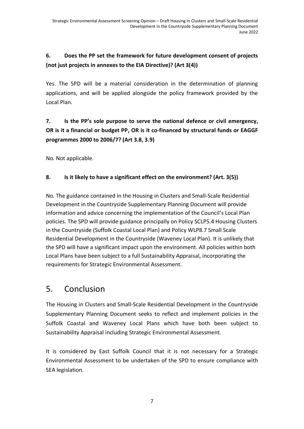### **6. Does the PP set the framework for future development consent of projects (not just projects in annexes to the EIA Directive)? (Art 3(4))**

Yes. The SPD will be a material consideration in the determination of planning applications, and will be applied alongside the policy framework provided by the Local Plan.

## **7. Is the PP's sole purpose to serve the national defence or civil emergency, OR is it a financial or budget PP, OR is it co-financed by structural funds or EAGGF programmes 2000 to 2006/7? (Art 3.8, 3.9)**

No. Not applicable.

#### **8. Is it likely to have a significant effect on the environment? (Art. 3(5))**

No. The guidance contained in the Housing in Clusters and Small-Scale Residential Development in the Countryside Supplementary Planning Document will provide information and advice concerning the implementation of the Council's Local Plan policies. The SPD will provide guidance principally on Policy SCLP5.4 Housing Clusters in the Countryside (Suffolk Coastal Local Plan) and Policy WLP8.7 Small Scale Residential Development in the Countryside (Waveney Local Plan). It is unlikely that the SPD will have a significant impact upon the environment. All policies within both Local Plans have been subject to a full Sustainability Appraisal, incorporating the requirements for Strategic Environmental Assessment.

## <span id="page-7-0"></span>5. Conclusion

The Housing in Clusters and Small-Scale Residential Development in the Countryside Supplementary Planning Document seeks to reflect and implement policies in the Suffolk Coastal and Waveney Local Plans which have both been subject to Sustainability Appraisal including Strategic Environmental Assessment.

It is considered by East Suffolk Council that it is not necessary for a Strategic Environmental Assessment to be undertaken of the SPD to ensure compliance with SEA legislation.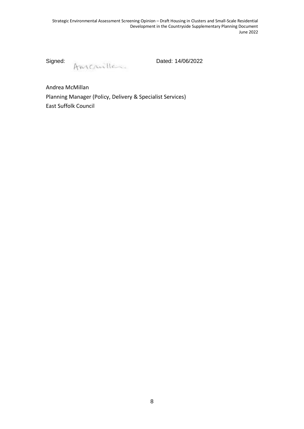Signed:

Anichiles Dated: 14/06/2022

<span id="page-8-0"></span>Andrea McMillan Planning Manager (Policy, Delivery & Specialist Services) East Suffolk Council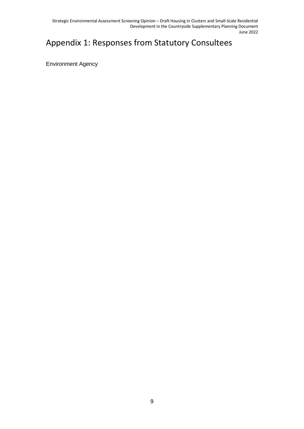Strategic Environmental Assessment Screening Opinion – Draft Housing in Clusters and Small-Scale Residential Development in the Countryside Supplementary Planning Document June 2022

# Appendix 1: Responses from Statutory Consultees

Environment Agency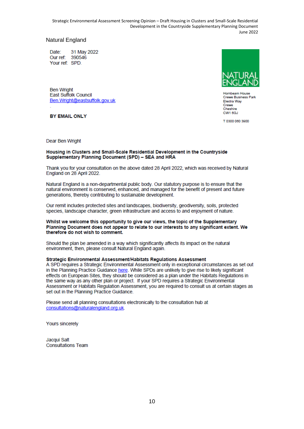Strategic Environmental Assessment Screening Opinion – Draft Housing in Clusters and Small-Scale Residential Development in the Countryside Supplementary Planning Document June 2022

#### Natural England

Date: 31 May 2022 390546 Our ref: Your ref: SPD

**Ben Wright** East Suffolk Council Ben.Wright@eastsuffolk.gov.uk

**BY EMAIL ONLY** 

Hornbeam House Crewe Business Park Electra Way Crewe Cheshire CW1 6GJ

T 0300 060 3900

Dear Ben Wright

#### Housing in Clusters and Small-Scale Residential Development in the Countryside Supplementary Planning Document (SPD) - SEA and HRA

Thank you for your consultation on the above dated 28 April 2022, which was received by Natural England on 28 April 2022.

Natural England is a non-departmental public body. Our statutory purpose is to ensure that the natural environment is conserved, enhanced, and managed for the benefit of present and future generations, thereby contributing to sustainable development.

Our remit includes protected sites and landscapes, biodiversity, geodiversity, soils, protected species, landscape character, green infrastructure and access to and enjoyment of nature.

#### Whilst we welcome this opportunity to give our views, the topic of the Supplementary Planning Document does not appear to relate to our interests to any significant extent. We therefore do not wish to comment.

Should the plan be amended in a way which significantly affects its impact on the natural environment, then, please consult Natural England again.

#### Strategic Environmental Assessment/Habitats Regulations Assessment

A SPD requires a Strategic Environmental Assessment only in exceptional circumstances as set out in the Planning Practice Guidance here. While SPDs are unlikely to give rise to likely significant effects on European Sites, they should be considered as a plan under the Habitats Regulations in the same way as any other plan or project. If your SPD requires a Strategic Environmental Assessment or Habitats Regulation Assessment, you are required to consult us at certain stages as set out in the Planning Practice Guidance.

Please send all planning consultations electronically to the consultation hub at consultations@naturalengland.org.uk.

**Yours sincerely** 

Jacqui Salt **Consultations Team**